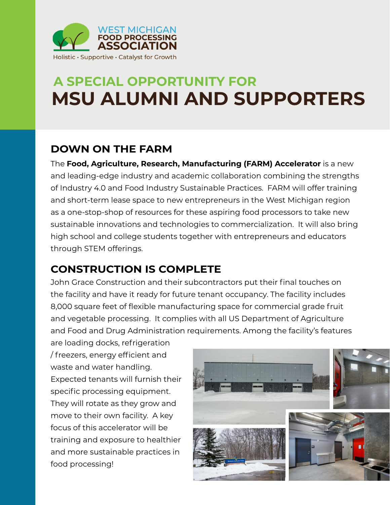

## **A SPECIAL OPPORTUNITY FOR MSU ALUMNI AND SUPPORTERS**

#### **DOWN ON THE FARM**

The **Food, Agriculture, Research, Manufacturing (FARM) Accelerator** is a new and leading-edge industry and academic collaboration combining the strengths of Industry 4.0 and Food Industry Sustainable Practices. FARM will offer training and short-term lease space to new entrepreneurs in the West Michigan region as a one-stop-shop of resources for these aspiring food processors to take new sustainable innovations and technologies to commercialization. It will also bring high school and college students together with entrepreneurs and educators through STEM offerings.

### **CONSTRUCTION IS COMPLETE**

John Grace Construction and their subcontractors put their final touches on the facility and have it ready for future tenant occupancy. The facility includes 8,000 square feet of flexible manufacturing space for commercial grade fruit and vegetable processing. It complies with all US Department of Agriculture and Food and Drug Administration requirements. Among the facility's features

are loading docks, refrigeration / freezers, energy efficient and waste and water handling. Expected tenants will furnish their specific processing equipment. They will rotate as they grow and move to their own facility. A key focus of this accelerator will be training and exposure to healthier and more sustainable practices in food processing!